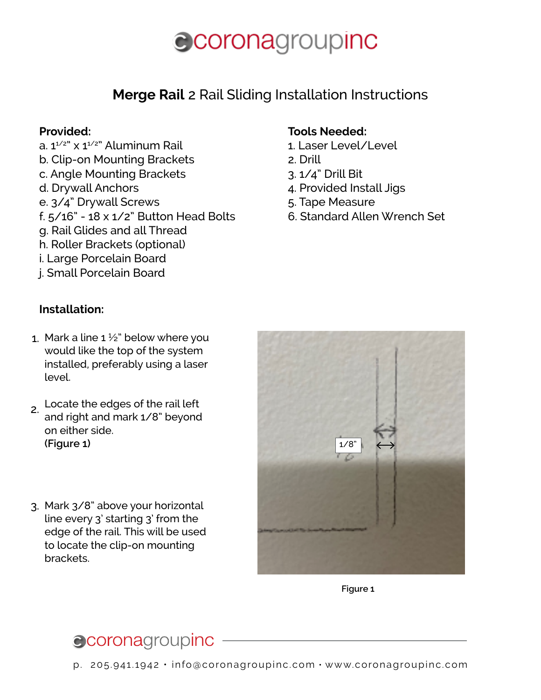### **Merge Rail** 2 Rail Sliding Installation Instructions

#### **Provided:**

- a.  $1^{1/2}$ " x  $1^{1/2}$ " Aluminum Rail b. Clip-on Mounting Brackets c. Angle Mounting Brackets d. Drywall Anchors e. 3/4" Drywall Screws
- f. 5/16" 18 x 1/2" Button Head Bolts
- g. Rail Glides and all Thread
- h. Roller Brackets (optional)
- i. Large Porcelain Board
- j. Small Porcelain Board

#### **Tools Needed:**

- 1. Laser Level/Level
- 2. Drill
- 3. 1/4" Drill Bit
- 4. Provided Install Jigs
- 5. Tape Measure
- 6. Standard Allen Wrench Set

#### **Installation:**

- 1. Mark a line  $1\frac{1}{2}$ " below where you would like the top of the system installed, preferably using a laser level.
- 2. Locate the edges of the rail left and right and mark 1/8" beyond on either side. **(Figure 1)**
- Mark 3/8" above your horizontal 3. line every 3' starting 3' from the edge of the rail. This will be used to locate the clip-on mounting brackets.



**Figure 1**

## ccoronagroupinc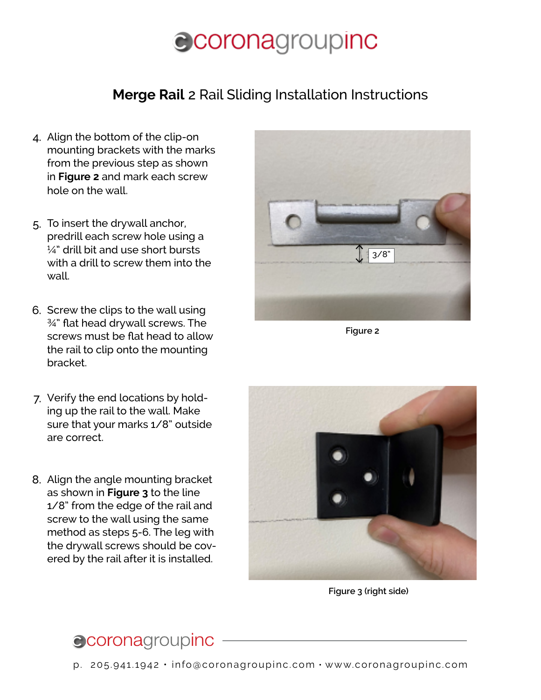### **Merge Rail** 2 Rail Sliding Installation Instructions

- Align the bottom of the clip-on 4. mounting brackets with the marks from the previous step as shown in **Figure 2** and mark each screw hole on the wall.
- 5. To insert the drywall anchor, predrill each screw hole using a  $\frac{1}{4}$ " drill bit and use short bursts with a drill to screw them into the wall.
- 6. Screw the clips to the wall using ¾" flat head drywall screws. The screws must be flat head to allow the rail to clip onto the mounting bracket.
- 7. Verify the end locations by holding up the rail to the wall. Make sure that your marks 1/8" outside are correct.
- Align the angle mounting bracket 8.as shown in **Figure 3** to the line 1/8" from the edge of the rail and screw to the wall using the same method as steps 5-6. The leg with the drywall screws should be covered by the rail after it is installed.



**Figure 2**



**Figure 3 (right side)**

## ccoronagroupinc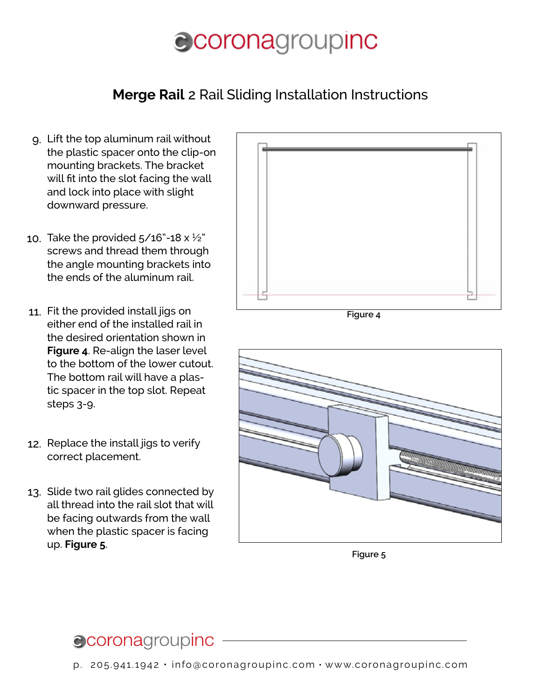### **Merge Rail** 2 Rail Sliding Installation Instructions

- Lift the top aluminum rail without 9. the plastic spacer onto the clip-on mounting brackets. The bracket will fit into the slot facing the wall and lock into place with slight downward pressure.
- 10. Take the provided 5/16"-18 x  $\frac{1}{2}$ " screws and thread them through the angle mounting brackets into the ends of the aluminum rail.
- 11. Fit the provided install jigs on either end of the installed rail in the desired orientation shown in **Figure 4**. Re-align the laser level to the bottom of the lower cutout. The bottom rail will have a plastic spacer in the top slot. Repeat steps 3-9.
- 12. Replace the install jigs to verify correct placement.
- 13. Slide two rail glides connected by all thread into the rail slot that will be facing outwards from the wall when the plastic spacer is facing up. **Figure 5**.



**Figure 4**



**Figure 5**

## **Coronagroupinc**

p. 205.941.1942 • info@coronagroupinc.com • www.coronagroupinc.com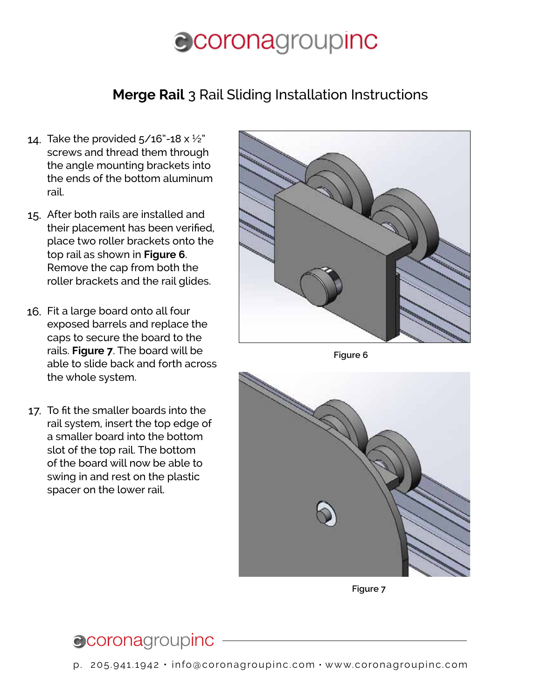#### **Merge Rail** 3 Rail Sliding Installation Instructions

- 14. Take the provided 5/16"-18 x  $\frac{1}{2}$ " screws and thread them through the angle mounting brackets into the ends of the bottom aluminum rail.
- After both rails are installed and 15. their placement has been verified, place two roller brackets onto the top rail as shown in **Figure 6**. Remove the cap from both the roller brackets and the rail glides.
- 16. Fit a large board onto all four exposed barrels and replace the caps to secure the board to the rails. **Figure 7**. The board will be able to slide back and forth across the whole system.
- 17. To fit the smaller boards into the rail system, insert the top edge of a smaller board into the bottom slot of the top rail. The bottom of the board will now be able to swing in and rest on the plastic spacer on the lower rail.





**Figure 7**

## ccoronagroupinc